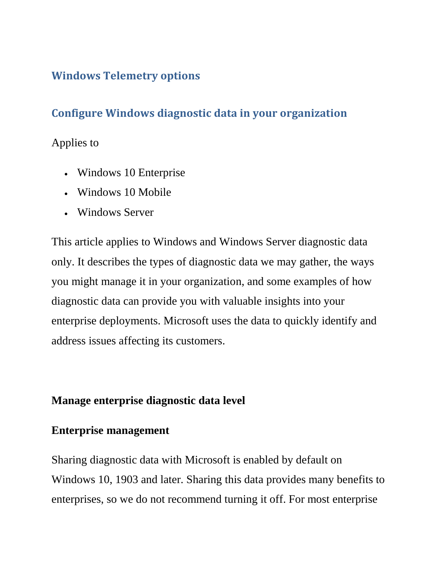# **Windows Telemetry options**

# **Configure Windows diagnostic data in your organization**

### Applies to

- Windows 10 Enterprise
- Windows 10 Mobile
- Windows Server

This article applies to Windows and Windows Server diagnostic data only. It describes the types of diagnostic data we may gather, the ways you might manage it in your organization, and some examples of how diagnostic data can provide you with valuable insights into your enterprise deployments. Microsoft uses the data to quickly identify and address issues affecting its customers.

### **Manage enterprise diagnostic data level**

### **Enterprise management**

Sharing diagnostic data with Microsoft is enabled by default on Windows 10, 1903 and later. Sharing this data provides many benefits to enterprises, so we do not recommend turning it off. For most enterprise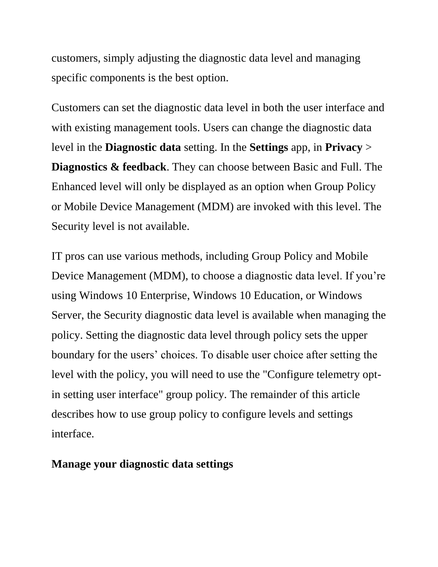customers, simply adjusting the diagnostic data level and managing specific components is the best option.

Customers can set the diagnostic data level in both the user interface and with existing management tools. Users can change the diagnostic data level in the **Diagnostic data** setting. In the **Settings** app, in **Privacy** > **Diagnostics & feedback**. They can choose between Basic and Full. The Enhanced level will only be displayed as an option when Group Policy or Mobile Device Management (MDM) are invoked with this level. The Security level is not available.

IT pros can use various methods, including Group Policy and Mobile Device Management (MDM), to choose a diagnostic data level. If you're using Windows 10 Enterprise, Windows 10 Education, or Windows Server, the Security diagnostic data level is available when managing the policy. Setting the diagnostic data level through policy sets the upper boundary for the users' choices. To disable user choice after setting the level with the policy, you will need to use the "Configure telemetry optin setting user interface" group policy. The remainder of this article describes how to use group policy to configure levels and settings interface.

#### **Manage your diagnostic data settings**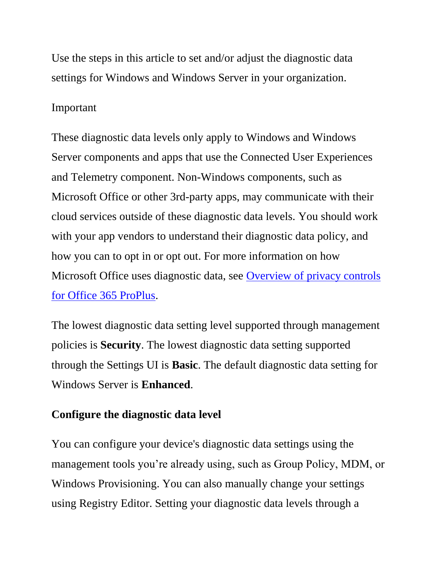Use the steps in this article to set and/or adjust the diagnostic data settings for Windows and Windows Server in your organization.

#### Important

These diagnostic data levels only apply to Windows and Windows Server components and apps that use the Connected User Experiences and Telemetry component. Non-Windows components, such as Microsoft Office or other 3rd-party apps, may communicate with their cloud services outside of these diagnostic data levels. You should work with your app vendors to understand their diagnostic data policy, and how you can to opt in or opt out. For more information on how Microsoft Office uses diagnostic data, see [Overview of privacy controls](https://docs.microsoft.com/en-us/deployoffice/privacy/overview-privacy-controls)  [for Office 365 ProPlus.](https://docs.microsoft.com/en-us/deployoffice/privacy/overview-privacy-controls)

The lowest diagnostic data setting level supported through management policies is **Security**. The lowest diagnostic data setting supported through the Settings UI is **Basic**. The default diagnostic data setting for Windows Server is **Enhanced**.

#### **Configure the diagnostic data level**

You can configure your device's diagnostic data settings using the management tools you're already using, such as Group Policy, MDM, or Windows Provisioning. You can also manually change your settings using Registry Editor. Setting your diagnostic data levels through a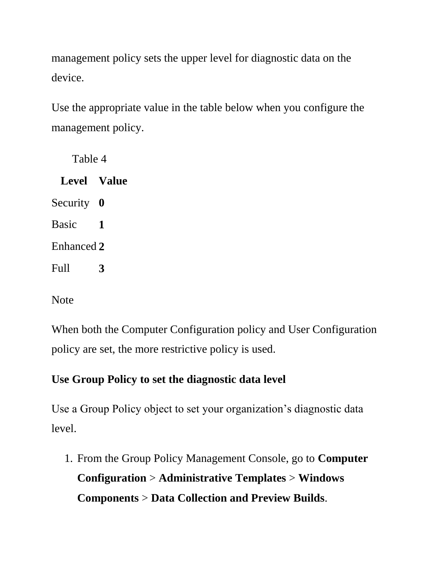management policy sets the upper level for diagnostic data on the device.

Use the appropriate value in the table below when you configure the management policy.

Table 4

**Level Value** Security **0** Basic **1** Enhanced **2** Full **3**

**Note** 

When both the Computer Configuration policy and User Configuration policy are set, the more restrictive policy is used.

# **Use Group Policy to set the diagnostic data level**

Use a Group Policy object to set your organization's diagnostic data level.

1. From the Group Policy Management Console, go to **Computer Configuration** > **Administrative Templates** > **Windows Components** > **Data Collection and Preview Builds**.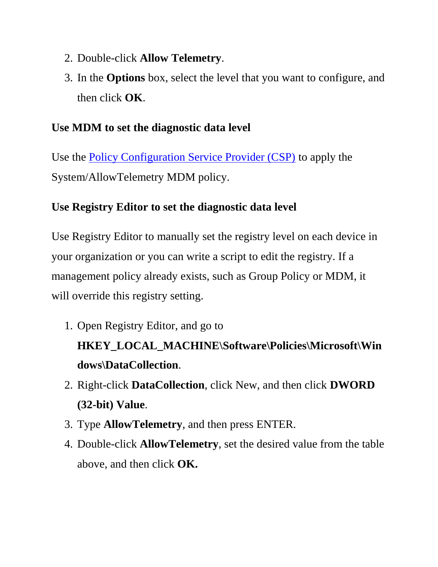- 2. Double-click **Allow Telemetry**.
- 3. In the **Options** box, select the level that you want to configure, and then click **OK**.

# **Use MDM to set the diagnostic data level**

Use the [Policy Configuration Service Provider \(CSP\)](https://docs.microsoft.com/windows/client-management/mdm/policy-configuration-service-provider) to apply the System/AllowTelemetry MDM policy.

# **Use Registry Editor to set the diagnostic data level**

Use Registry Editor to manually set the registry level on each device in your organization or you can write a script to edit the registry. If a management policy already exists, such as Group Policy or MDM, it will override this registry setting.

1. Open Registry Editor, and go to

# **HKEY\_LOCAL\_MACHINE\Software\Policies\Microsoft\Win dows\DataCollection**.

- 2. Right-click **DataCollection**, click New, and then click **DWORD (32-bit) Value**.
- 3. Type **AllowTelemetry**, and then press ENTER.
- 4. Double-click **AllowTelemetry**, set the desired value from the table above, and then click **OK.**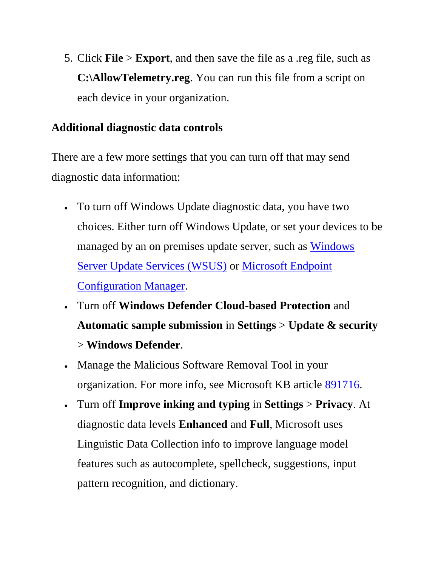5. Click **File** > **Export**, and then save the file as a .reg file, such as **C:\AllowTelemetry.reg**. You can run this file from a script on each device in your organization.

# **Additional diagnostic data controls**

There are a few more settings that you can turn off that may send diagnostic data information:

- To turn off Windows Update diagnostic data, you have two choices. Either turn off Windows Update, or set your devices to be managed by an on premises update server, such as **Windows** [Server Update Services \(WSUS\)](https://docs.microsoft.com/windows-server/administration/windows-server-update-services/get-started/windows-server-update-services-wsus) or [Microsoft Endpoint](https://docs.microsoft.com/configmgr/index/)  [Configuration Manager.](https://docs.microsoft.com/configmgr/index/)
- Turn off **Windows Defender Cloud-based Protection** and **Automatic sample submission** in **Settings** > **Update & security** > **Windows Defender**.
- Manage the Malicious Software Removal Tool in your organization. For more info, see Microsoft KB article [891716.](https://support.microsoft.com/kb/891716)
- Turn off **Improve inking and typing** in **Settings** > **Privacy**. At diagnostic data levels **Enhanced** and **Full**, Microsoft uses Linguistic Data Collection info to improve language model features such as autocomplete, spellcheck, suggestions, input pattern recognition, and dictionary.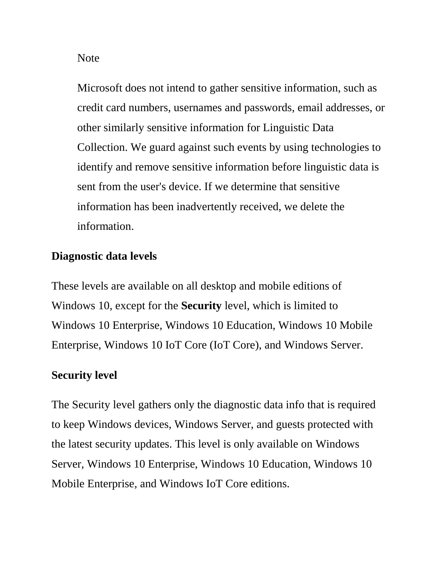Note

Microsoft does not intend to gather sensitive information, such as credit card numbers, usernames and passwords, email addresses, or other similarly sensitive information for Linguistic Data Collection. We guard against such events by using technologies to identify and remove sensitive information before linguistic data is sent from the user's device. If we determine that sensitive information has been inadvertently received, we delete the information.

### **Diagnostic data levels**

These levels are available on all desktop and mobile editions of Windows 10, except for the **Security** level, which is limited to Windows 10 Enterprise, Windows 10 Education, Windows 10 Mobile Enterprise, Windows 10 IoT Core (IoT Core), and Windows Server.

### **Security level**

The Security level gathers only the diagnostic data info that is required to keep Windows devices, Windows Server, and guests protected with the latest security updates. This level is only available on Windows Server, Windows 10 Enterprise, Windows 10 Education, Windows 10 Mobile Enterprise, and Windows IoT Core editions.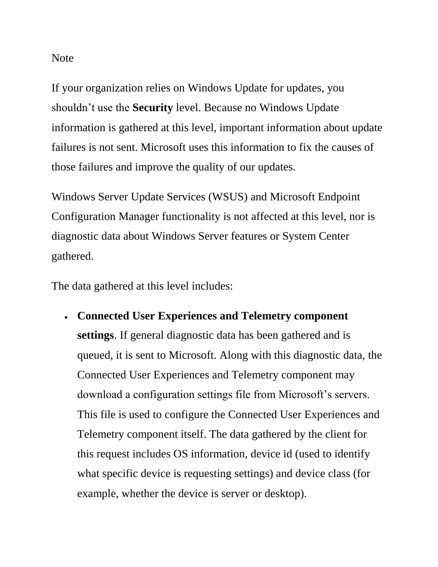Note

If your organization relies on Windows Update for updates, you shouldn't use the **Security** level. Because no Windows Update information is gathered at this level, important information about update failures is not sent. Microsoft uses this information to fix the causes of those failures and improve the quality of our updates.

Windows Server Update Services (WSUS) and Microsoft Endpoint Configuration Manager functionality is not affected at this level, nor is diagnostic data about Windows Server features or System Center gathered.

The data gathered at this level includes:

 **Connected User Experiences and Telemetry component settings**. If general diagnostic data has been gathered and is queued, it is sent to Microsoft. Along with this diagnostic data, the Connected User Experiences and Telemetry component may download a configuration settings file from Microsoft's servers. This file is used to configure the Connected User Experiences and Telemetry component itself. The data gathered by the client for this request includes OS information, device id (used to identify what specific device is requesting settings) and device class (for example, whether the device is server or desktop).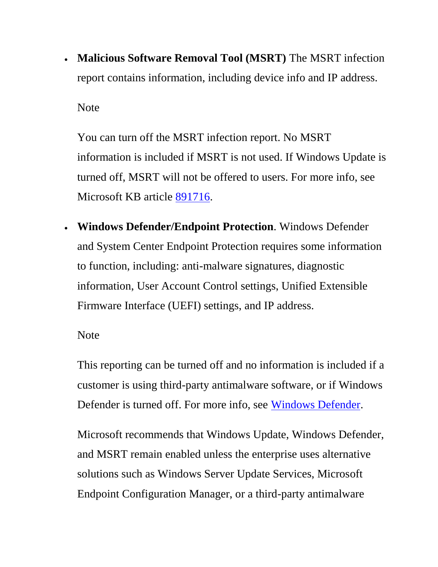**Malicious Software Removal Tool (MSRT)** The MSRT infection report contains information, including device info and IP address.

Note

You can turn off the MSRT infection report. No MSRT information is included if MSRT is not used. If Windows Update is turned off, MSRT will not be offered to users. For more info, see Microsoft KB article [891716.](https://support.microsoft.com/kb/891716)

 **Windows Defender/Endpoint Protection**. Windows Defender and System Center Endpoint Protection requires some information to function, including: anti-malware signatures, diagnostic information, User Account Control settings, Unified Extensible Firmware Interface (UEFI) settings, and IP address.

**Note** 

This reporting can be turned off and no information is included if a customer is using third-party antimalware software, or if Windows Defender is turned off. For more info, see [Windows Defender.](https://docs.microsoft.com/en-us/windows/privacy/manage-connections-from-windows-operating-system-components-to-microsoft-services#bkmk-defender)

Microsoft recommends that Windows Update, Windows Defender, and MSRT remain enabled unless the enterprise uses alternative solutions such as Windows Server Update Services, Microsoft Endpoint Configuration Manager, or a third-party antimalware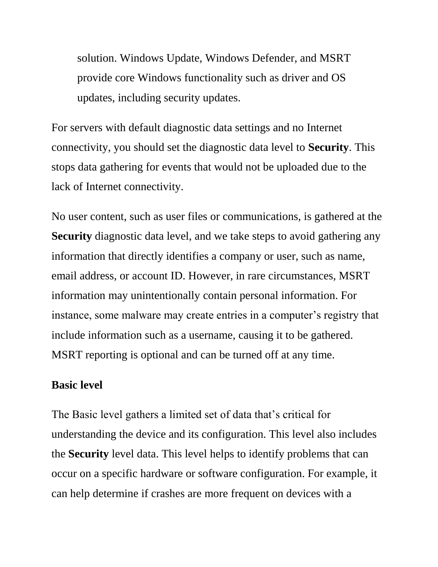solution. Windows Update, Windows Defender, and MSRT provide core Windows functionality such as driver and OS updates, including security updates.

For servers with default diagnostic data settings and no Internet connectivity, you should set the diagnostic data level to **Security**. This stops data gathering for events that would not be uploaded due to the lack of Internet connectivity.

No user content, such as user files or communications, is gathered at the **Security** diagnostic data level, and we take steps to avoid gathering any information that directly identifies a company or user, such as name, email address, or account ID. However, in rare circumstances, MSRT information may unintentionally contain personal information. For instance, some malware may create entries in a computer's registry that include information such as a username, causing it to be gathered. MSRT reporting is optional and can be turned off at any time.

#### **Basic level**

The Basic level gathers a limited set of data that's critical for understanding the device and its configuration. This level also includes the **Security** level data. This level helps to identify problems that can occur on a specific hardware or software configuration. For example, it can help determine if crashes are more frequent on devices with a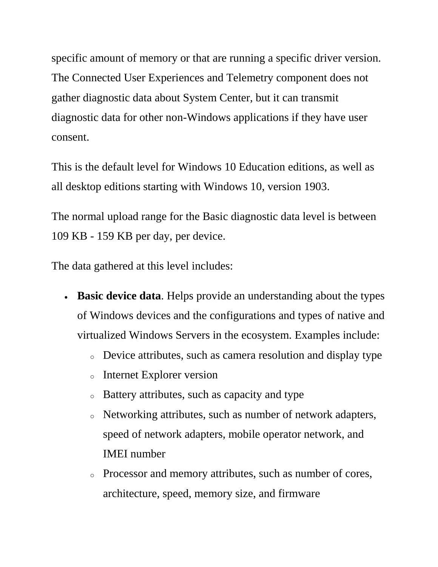specific amount of memory or that are running a specific driver version. The Connected User Experiences and Telemetry component does not gather diagnostic data about System Center, but it can transmit diagnostic data for other non-Windows applications if they have user consent.

This is the default level for Windows 10 Education editions, as well as all desktop editions starting with Windows 10, version 1903.

The normal upload range for the Basic diagnostic data level is between 109 KB - 159 KB per day, per device.

The data gathered at this level includes:

- **Basic device data**. Helps provide an understanding about the types of Windows devices and the configurations and types of native and virtualized Windows Servers in the ecosystem. Examples include:
	- <sup>o</sup> Device attributes, such as camera resolution and display type
	- <sup>o</sup> Internet Explorer version
	- <sup>o</sup> Battery attributes, such as capacity and type
	- <sup>o</sup> Networking attributes, such as number of network adapters, speed of network adapters, mobile operator network, and IMEI number
	- <sup>o</sup> Processor and memory attributes, such as number of cores, architecture, speed, memory size, and firmware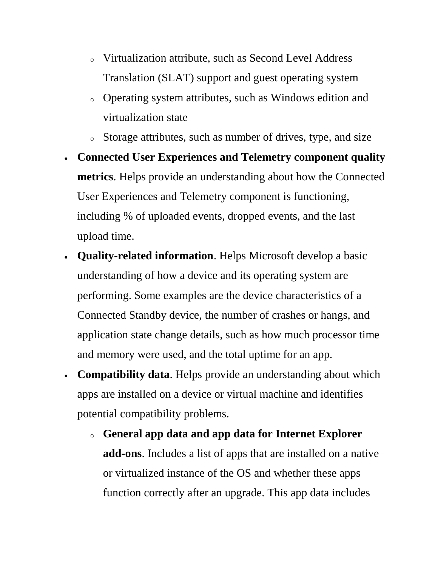- <sup>o</sup> Virtualization attribute, such as Second Level Address Translation (SLAT) support and guest operating system
- <sup>o</sup> Operating system attributes, such as Windows edition and virtualization state
- <sup>o</sup> Storage attributes, such as number of drives, type, and size
- **Connected User Experiences and Telemetry component quality metrics**. Helps provide an understanding about how the Connected User Experiences and Telemetry component is functioning, including % of uploaded events, dropped events, and the last upload time.
- **Quality-related information**. Helps Microsoft develop a basic understanding of how a device and its operating system are performing. Some examples are the device characteristics of a Connected Standby device, the number of crashes or hangs, and application state change details, such as how much processor time and memory were used, and the total uptime for an app.
- **Compatibility data**. Helps provide an understanding about which apps are installed on a device or virtual machine and identifies potential compatibility problems.
	- <sup>o</sup> **General app data and app data for Internet Explorer add-ons**. Includes a list of apps that are installed on a native or virtualized instance of the OS and whether these apps function correctly after an upgrade. This app data includes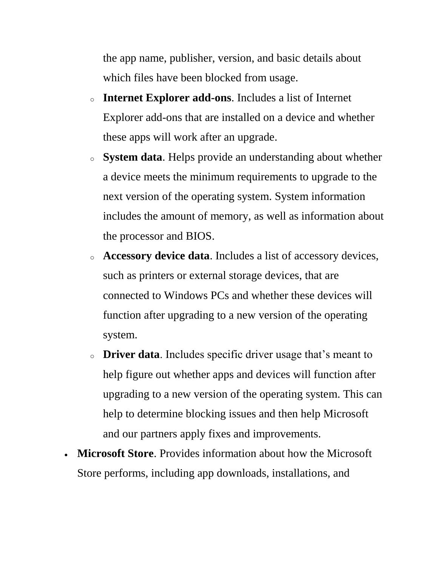the app name, publisher, version, and basic details about which files have been blocked from usage.

- <sup>o</sup> **Internet Explorer add-ons**. Includes a list of Internet Explorer add-ons that are installed on a device and whether these apps will work after an upgrade.
- <sup>o</sup> **System data**. Helps provide an understanding about whether a device meets the minimum requirements to upgrade to the next version of the operating system. System information includes the amount of memory, as well as information about the processor and BIOS.
- <sup>o</sup> **Accessory device data**. Includes a list of accessory devices, such as printers or external storage devices, that are connected to Windows PCs and whether these devices will function after upgrading to a new version of the operating system.
- <sup>o</sup> **Driver data**. Includes specific driver usage that's meant to help figure out whether apps and devices will function after upgrading to a new version of the operating system. This can help to determine blocking issues and then help Microsoft and our partners apply fixes and improvements.
- **Microsoft Store**. Provides information about how the Microsoft Store performs, including app downloads, installations, and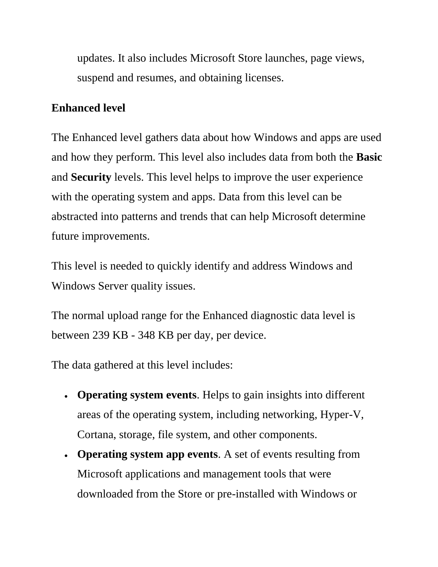updates. It also includes Microsoft Store launches, page views, suspend and resumes, and obtaining licenses.

### **Enhanced level**

The Enhanced level gathers data about how Windows and apps are used and how they perform. This level also includes data from both the **Basic** and **Security** levels. This level helps to improve the user experience with the operating system and apps. Data from this level can be abstracted into patterns and trends that can help Microsoft determine future improvements.

This level is needed to quickly identify and address Windows and Windows Server quality issues.

The normal upload range for the Enhanced diagnostic data level is between 239 KB - 348 KB per day, per device.

The data gathered at this level includes:

- **Operating system events**. Helps to gain insights into different areas of the operating system, including networking, Hyper-V, Cortana, storage, file system, and other components.
- **Operating system app events**. A set of events resulting from Microsoft applications and management tools that were downloaded from the Store or pre-installed with Windows or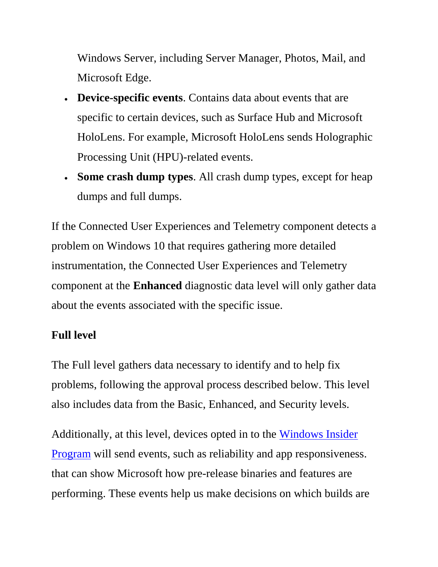Windows Server, including Server Manager, Photos, Mail, and Microsoft Edge.

- **Device-specific events**. Contains data about events that are specific to certain devices, such as Surface Hub and Microsoft HoloLens. For example, Microsoft HoloLens sends Holographic Processing Unit (HPU)-related events.
- **Some crash dump types**. All crash dump types, except for heap dumps and full dumps.

If the Connected User Experiences and Telemetry component detects a problem on Windows 10 that requires gathering more detailed instrumentation, the Connected User Experiences and Telemetry component at the **Enhanced** diagnostic data level will only gather data about the events associated with the specific issue.

# **Full level**

The Full level gathers data necessary to identify and to help fix problems, following the approval process described below. This level also includes data from the Basic, Enhanced, and Security levels.

Additionally, at this level, devices opted in to the [Windows Insider](http://insider.windows.com/)  [Program](http://insider.windows.com/) will send events, such as reliability and app responsiveness. that can show Microsoft how pre-release binaries and features are performing. These events help us make decisions on which builds are